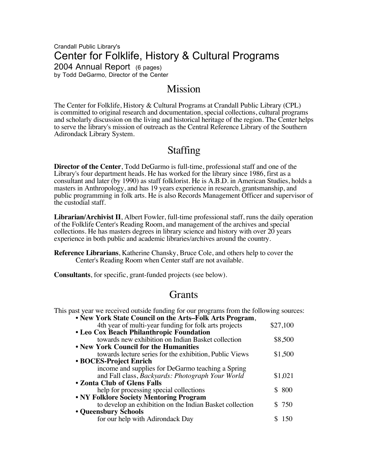### Crandall Public Library's Center for Folklife, History & Cultural Programs 2004 Annual Report (6 pages) by Todd DeGarmo, Director of the Center

# **Mission**

The Center for Folklife, History & Cultural Programs at Crandall Public Library (CPL) is committed to original research and documentation, special collections, cultural programs and scholarly discussion on the living and historical heritage of the region. The Center helps to serve the library's mission of outreach as the Central Reference Library of the Southern Adirondack Library System.

# Staffing

**Director of the Center**, Todd DeGarmo is full-time, professional staff and one of the Library's four department heads. He has worked for the library since 1986, first as a consultant and later (by 1990) as staff folklorist. He is A.B.D. in American Studies, holds a masters in Anthropology, and has 19 years experience in research, grantsmanship, and public programming in folk arts. He is also Records Management Officer and supervisor of the custodial staff.

**Librarian/Archivist II**, Albert Fowler, full-time professional staff, runs the daily operation of the Folklife Center's Reading Room, and management of the archives and special collections. He has masters degrees in library science and history with over 20 years experience in both public and academic libraries/archives around the country.

**Reference Librarians**, Katherine Chansky, Bruce Cole, and others help to cover the Center's Reading Room when Center staff are not available.

**Consultants**, for specific, grant-funded projects (see below).

# **Grants**

This past year we received outside funding for our programs from the following sources: • **New York State Council on the Arts–Folk Arts Program**,

| 4th year of multi-year funding for folk arts projects    | \$27,100 |  |  |  |
|----------------------------------------------------------|----------|--|--|--|
| • Leo Cox Beach Philanthropic Foundation                 |          |  |  |  |
| towards new exhibition on Indian Basket collection       | \$8,500  |  |  |  |
| • New York Council for the Humanities                    |          |  |  |  |
| towards lecture series for the exhibition, Public Views  | \$1,500  |  |  |  |
| • BOCES-Project Enrich                                   |          |  |  |  |
| income and supplies for DeGarmo teaching a Spring        |          |  |  |  |
| and Fall class, Backyards: Photograph Your World         | \$1,021  |  |  |  |
| • Zonta Club of Glens Falls                              |          |  |  |  |
| help for processing special collections                  | \$800    |  |  |  |
| • NY Folklore Society Mentoring Program                  |          |  |  |  |
| to develop an exhibition on the Indian Basket collection | \$750    |  |  |  |
| • Queensbury Schools                                     |          |  |  |  |
| for our help with Adirondack Day                         |          |  |  |  |
|                                                          |          |  |  |  |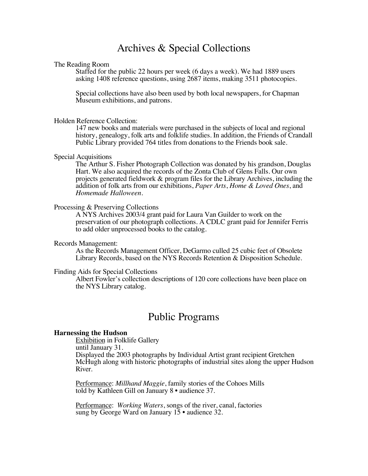# Archives & Special Collections

#### The Reading Room

Staffed for the public 22 hours per week (6 days a week). We had 1889 users asking 1408 reference questions, using 2687 items, making 3511 photocopies.

Special collections have also been used by both local newspapers, for Chapman Museum exhibitions, and patrons.

#### Holden Reference Collection:

147 new books and materials were purchased in the subjects of local and regional history, genealogy, folk arts and folklife studies. In addition, the Friends of Crandall Public Library provided 764 titles from donations to the Friends book sale.

#### Special Acquisitions

The Arthur S. Fisher Photograph Collection was donated by his grandson, Douglas Hart. We also acquired the records of the Zonta Club of Glens Falls. Our own projects generated fieldwork & program files for the Library Archives, including the addition of folk arts from our exhibitions, *Paper Arts*, *Home & Loved Ones*, and *Homemade Halloween*.

#### Processing & Preserving Collections

A NYS Archives 2003/4 grant paid for Laura Van Guilder to work on the preservation of our photograph collections. A CDLC grant paid for Jennifer Ferris to add older unprocessed books to the catalog.

#### Records Management:

As the Records Management Officer, DeGarmo culled 25 cubic feet of Obsolete Library Records, based on the NYS Records Retention & Disposition Schedule.

#### Finding Aids for Special Collections

Albert Fowler's collection descriptions of 120 core collections have been place on the NYS Library catalog.

## Public Programs

#### **Harnessing the Hudson**

Exhibition in Folklife Gallery until January 31. Displayed the 2003 photographs by Individual Artist grant recipient Gretchen McHugh along with historic photographs of industrial sites along the upper Hudson River.

Performance: *Millhand Maggie*, family stories of the Cohoes Mills told by Kathleen Gill on January 8 • audience 37.

Performance: *Working Waters*, songs of the river, canal, factories sung by George Ward on January 15 • audience 32.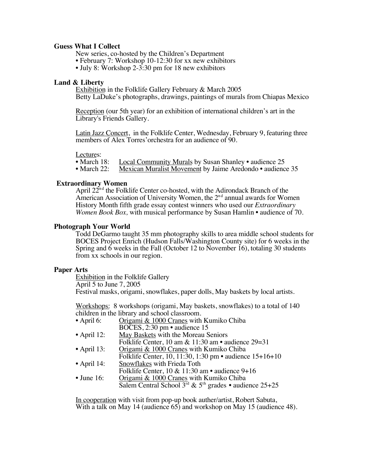#### **Guess What I Collect**

New series, co-hosted by the Children's Department

- February 7: Workshop 10-12:30 for xx new exhibitors
- July 8: Workshop 2-3:30 pm for 18 new exhibitors

#### **Land & Liberty**

Exhibition in the Folklife Gallery February & March 2005 Betty LaDuke's photographs, drawings, paintings of murals from Chiapas Mexico

Reception (our 5th year) for an exhibition of international children's art in the Library's Friends Gallery.

Latin Jazz Concert, in the Folklife Center, Wednesday, February 9, featuring three members of Alex Torres'orchestra for an audience of 90.

Lectures:<br>• March 18: • March 18: Local Community Murals by Susan Shanley • audience 25<br>• March 22: Mexican Muralist Movement by Jaime Aredondo • audience

Mexican Muralist Movement by Jaime Aredondo • audience 35

#### **Extraordinary Women**

April  $22^{\text{nd}}$  the Folklife Center co-hosted, with the Adirondack Branch of the American Association of University Women, the  $2<sup>nd</sup>$  annual awards for Women History Month fifth grade essay contest winners who used our *Extraordinary Women Book Box,* with musical performance by Susan Hamlin • audience of 70.

#### **Photograph Your World**

Todd DeGarmo taught 35 mm photography skills to area middle school students for BOCES Project Enrich (Hudson Falls/Washington County site) for 6 weeks in the Spring and  $\acute{o}$  weeks in the Fall (October 12 to November 16), totaling 30 students from xx schools in our region.

#### **Paper Arts**

Exhibition in the Folklife Gallery April 5 to June 7, 2005 Festival masks, origami, snowflakes, paper dolls, May baskets by local artists.

Workshops: 8 workshops (origami, May baskets, snowflakes) to a total of 140 children in the library and school classroom.

| • April 6:         | Origami & 1000 Cranes with Kumiko Chiba                            |
|--------------------|--------------------------------------------------------------------|
|                    | BOCES, 2:30 pm • audience 15                                       |
| • April 12:        | May Baskets with the Moreau Seniors                                |
|                    | Folklife Center, 10 am $\&$ 11:30 am • audience 29=31              |
| • April 13:        | Origami & 1000 Cranes with Kumiko Chiba                            |
|                    | Folklife Center, 10, 11:30, 1:30 pm • audience 15+16+10            |
| • April 14:        | Snowflakes with Frieda Toth                                        |
|                    | Folklife Center, $10 \& 11:30$ am • audience $9+16$                |
| $\bullet$ June 16: | Origami & 1000 Cranes with Kumiko Chiba                            |
|                    | Salem Central School $3^{rd}$ & $5^{th}$ grades • audience $25+25$ |
|                    |                                                                    |

In cooperation with visit from pop-up book auther/artist, Robert Sabuta, With a talk on May 14 (audience 65) and workshop on May 15 (audience 48).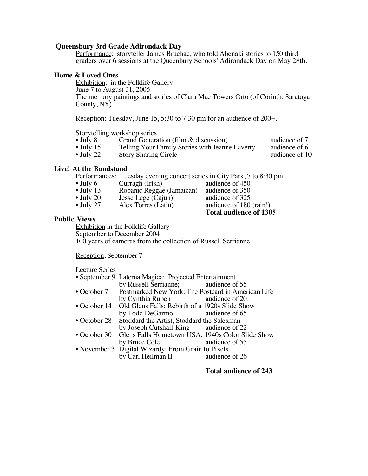#### **Queensbury 3rd Grade Adirondack Day**

Performance: storyteller James Bruchac, who told Abenaki stories to 150 third graders over 6 sessions at the Queenbury Schools' Adirondack Day on May 28th.

#### **Home & Loved Ones**

Exhibition: in the Folklife Gallery June 7 to August 31, 2005 The memory paintings and stories of Clara Mae Towers Orto (of Corinth, Saratoga County, NY)

Reception: Tuesday, June 15, 5:30 to 7:30 pm for an audience of 200+.

# Storytelling workshop series<br>• July 8 Grand Genera

• July 8 Grand Generation (film & discussion) audience of 7<br>• July 15 Telling Your Family Stories with Jeanne Laverty audience of 6 • July 15 Telling Your Family Stories with Jeanne Laverty audience of 6<br>• July 22 Story Sharing Circle audience of 10

Story Sharing Circle

#### **Live! At the Bandstand**

Performances: Tuesday evening concert series in City Park, 7 to 8:30 pm audience of 450

| $\bullet$ July 6  | Curragh (Irish)           | audience of 450         |
|-------------------|---------------------------|-------------------------|
| $\bullet$ July 13 | Robanic Reggae (Jamaican) | audience of 350         |
| $\bullet$ July 20 | Jesse Lege (Cajun)        | audience of 325         |
| $\bullet$ July 27 | Alex Torres (Latin)       | audience of 180 (rain!) |

#### **Public Views**

Exhibition in the Folklife Gallery September to December 2004 100 years of cameras from the collection of Russell Serrianne

Reception, September 7

| • September 9 Laterna Magica: Projected Entertainment              |                                                               |  |
|--------------------------------------------------------------------|---------------------------------------------------------------|--|
| by Russell Serrianne; audience of 55                               |                                                               |  |
| • October 7 Postmarked New York: The Postcard in American Life     |                                                               |  |
| by Cynthia Ruben audience of 20.                                   |                                                               |  |
| Old Glens Falls: Rebirth of a 1920s Slide Show<br>• October 14     |                                                               |  |
| by Todd DeGarmo audience of 65                                     |                                                               |  |
| Stoddard the Artist, Stoddard the Salesman<br>$\bullet$ October 28 |                                                               |  |
| by Joseph Cutshall-King audience of 22                             |                                                               |  |
|                                                                    |                                                               |  |
| by Bruce Cole                                                      | audience of 55                                                |  |
| • November 3 Digital Wizardy: From Grain to Pixels                 |                                                               |  |
| by Carl Heilman II audience of 26                                  |                                                               |  |
|                                                                    | • October 30 Glens Falls Hometown USA: 1940s Color Slide Show |  |

#### **Total audience of 243**

**Total audience of 1305**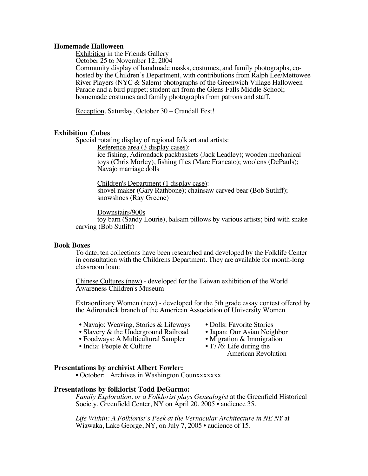#### **Homemade Halloween**

Exhibition in the Friends Gallery

October 25 to November 12, 2004

Community display of handmade masks, costumes, and family photographs, cohosted by the Children's Department, with contributions from Ralph Lee/Mettowee River Players (NYC & Salem) photographs of the Greenwich Village Halloween Parade and a bird puppet; student art from the Glens Falls Middle School; homemade costumes and family photographs from patrons and staff.

Reception, Saturday, October 30 – Crandall Fest!

#### **Exhibition Cubes**

Special rotating display of regional folk art and artists:

Reference area (3 display cases):

ice fishing, Adirondack packbaskets (Jack Leadley); wooden mechanical toys (Chris Morley), fishing flies (Marc Francato); woolens (DePauls); Navajo marriage dolls

Children's Department (1 display case): shovel maker (Gary Rathbone); chainsaw carved bear (Bob Sutliff); snowshoes (Ray Greene)

Downstairs/900s toy barn (Sandy Lourie), balsam pillows by various artists; bird with snake carving (Bob Sutliff)

#### **Book Boxes**

To date, ten collections have been researched and developed by the Folklife Center in consultation with the Childrens Department. They are available for month-long classroom loan:

Chinese Cultures (new) - developed for the Taiwan exhibition of the World Awareness Children's Museum

Extraordinary Women (new) - developed for the 5th grade essay contest offered by the Adirondack branch of the American Association of University Women

- Navajo: Weaving, Stories & Lifeways Dolls: Favorite Stories<br>• Slavery & the Underground Railroad Japan: Our Asian Neighbor
- -
- Slavery & the Underground Railroad Japan: Our Asian Neighbor<br>• Foodways: A Multicultural Sampler Migration & Immigration • Foodways: A Multicultural Sampler • Migration & Immigra<br>• India: People & Culture • 1776: Life during the
- India: People  $&$  Culture

American Revolution

#### **Presentations by archivist Albert Fowler:**

• October: Archives in Washington Counxxxxxxx

#### **Presentations by folklorist Todd DeGarmo:**

*Family Exploration, or a Folklorist plays Genealogist* at the Greenfield Historical Society, Greenfield Center, NY on April 20, 2005 • audience 35.

*Life Within: A Folklorist's Peek at the Vernacular Architecture in NE NY* at Wiawaka, Lake George, NY, on July 7, 2005 • audience of 15.